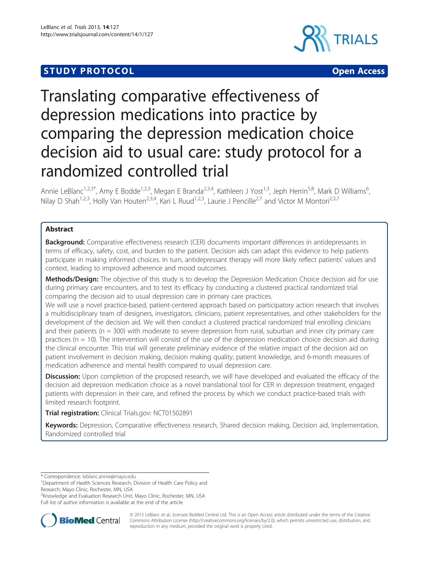# **STUDY PROTOCOL CONSUMING THE CONSUMING OPEN ACCESS**





# Translating comparative effectiveness of depression medications into practice by comparing the depression medication choice decision aid to usual care: study protocol for a randomized controlled trial

Annie LeBlanc<sup>1,2,3\*</sup>, Amy E Bodde<sup>1,2,3</sup>, Megan E Branda<sup>2,3,4</sup>, Kathleen J Yost<sup>1,3</sup>, Jeph Herrin<sup>5,8</sup>, Mark D Williams<sup>6</sup>, י<br>, Nilay D Shah<sup>1,2,3</sup>, Holly Van Houten<sup>2,3,4</sup>, Kari L Ruud<sup>1,2,3</sup>, Laurie J Pencille<sup>2,7</sup> and Victor M Montori<sup>2,3,7</sup>

# Abstract

**Background:** Comparative effectiveness research (CER) documents important differences in antidepressants in terms of efficacy, safety, cost, and burden to the patient. Decision aids can adapt this evidence to help patients participate in making informed choices. In turn, antidepressant therapy will more likely reflect patients' values and context, leading to improved adherence and mood outcomes.

Methods/Design: The objective of this study is to develop the Depression Medication Choice decision aid for use during primary care encounters, and to test its efficacy by conducting a clustered practical randomized trial comparing the decision aid to usual depression care in primary care practices.

We will use a novel practice-based, patient-centered approach based on participatory action research that involves a multidisciplinary team of designers, investigators, clinicians, patient representatives, and other stakeholders for the development of the decision aid. We will then conduct a clustered practical randomized trial enrolling clinicians and their patients ( $n = 300$ ) with moderate to severe depression from rural, suburban and inner city primary care practices ( $n = 10$ ). The intervention will consist of the use of the depression medication choice decision aid during the clinical encounter. This trial will generate preliminary evidence of the relative impact of the decision aid on patient involvement in decision making, decision making quality, patient knowledge, and 6-month measures of medication adherence and mental health compared to usual depression care.

**Discussion:** Upon completion of the proposed research, we will have developed and evaluated the efficacy of the decision aid depression medication choice as a novel translational tool for CER in depression treatment, engaged patients with depression in their care, and refined the process by which we conduct practice-based trials with limited research footprint.

Trial registration: Clinical Trials.gov: [NCT01502891](http://www.clinicaltrials.gov/NCT01502891)

Keywords: Depression, Comparative effectiveness research, Shared decision making, Decision aid, Implementation, Randomized controlled trial

\* Correspondence: [leblanc.annie@mayo.edu](mailto:leblanc.annie@mayo.edu) <sup>1</sup>

<sup>2</sup> Knowledge and Evaluation Research Unit, Mayo Clinic, Rochester, MN, USA Full list of author information is available at the end of the article



© 2013 LeBlanc et al.; licensee BioMed Central Ltd. This is an Open Access article distributed under the terms of the Creative Commons Attribution License [\(http://creativecommons.org/licenses/by/2.0\)](http://creativecommons.org/licenses/by/2.0), which permits unrestricted use, distribution, and reproduction in any medium, provided the original work is properly cited.

Department of Health Sciences Research, Division of Health Care Policy and Research, Mayo Clinic, Rochester, MN, USA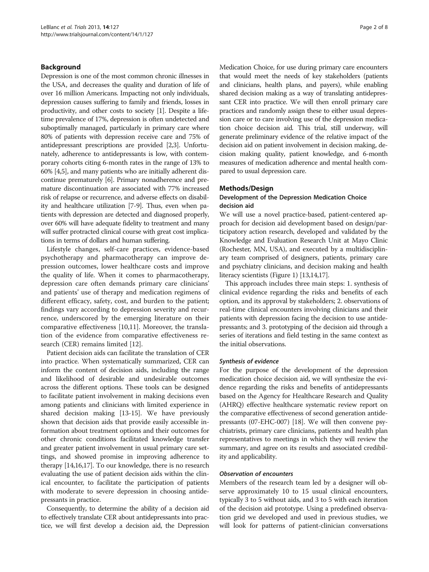# Background

Depression is one of the most common chronic illnesses in the USA, and decreases the quality and duration of life of over 16 million Americans. Impacting not only individuals, depression causes suffering to family and friends, losses in productivity, and other costs to society [[1](#page-6-0)]. Despite a lifetime prevalence of 17%, depression is often undetected and suboptimally managed, particularly in primary care where 80% of patients with depression receive care and 75% of antidepressant prescriptions are provided [\[2,3](#page-6-0)]. Unfortunately, adherence to antidepressants is low, with contemporary cohorts citing 6-month rates in the range of 13% to 60% [[4,5](#page-6-0)], and many patients who are initially adherent discontinue prematurely [\[6\]](#page-6-0). Primary nonadherence and premature discontinuation are associated with 77% increased risk of relapse or recurrence, and adverse effects on disability and healthcare utilization [\[7-9\]](#page-6-0). Thus, even when patients with depression are detected and diagnosed properly, over 60% will have adequate fidelity to treatment and many will suffer protracted clinical course with great cost implications in terms of dollars and human suffering.

Lifestyle changes, self-care practices, evidence-based psychotherapy and pharmacotherapy can improve depression outcomes, lower healthcare costs and improve the quality of life. When it comes to pharmacotherapy, depression care often demands primary care clinicians' and patients' use of therapy and medication regimens of different efficacy, safety, cost, and burden to the patient; findings vary according to depression severity and recurrence, underscored by the emerging literature on their comparative effectiveness [[10,11\]](#page-6-0). Moreover, the translation of the evidence from comparative effectiveness research (CER) remains limited [\[12\]](#page-6-0).

Patient decision aids can facilitate the translation of CER into practice. When systematically summarized, CER can inform the content of decision aids, including the range and likelihood of desirable and undesirable outcomes across the different options. These tools can be designed to facilitate patient involvement in making decisions even among patients and clinicians with limited experience in shared decision making [\[13-15\]](#page-6-0). We have previously shown that decision aids that provide easily accessible information about treatment options and their outcomes for other chronic conditions facilitated knowledge transfer and greater patient involvement in usual primary care settings, and showed promise in improving adherence to therapy [\[14,16,17](#page-6-0)]. To our knowledge, there is no research evaluating the use of patient decision aids within the clinical encounter, to facilitate the participation of patients with moderate to severe depression in choosing antidepressants in practice.

Consequently, to determine the ability of a decision aid to effectively translate CER about antidepressants into practice, we will first develop a decision aid, the Depression Medication Choice, for use during primary care encounters that would meet the needs of key stakeholders (patients and clinicians, health plans, and payers), while enabling shared decision making as a way of translating antidepressant CER into practice. We will then enroll primary care practices and randomly assign these to either usual depression care or to care involving use of the depression medication choice decision aid. This trial, still underway, will generate preliminary evidence of the relative impact of the decision aid on patient involvement in decision making, decision making quality, patient knowledge, and 6-month measures of medication adherence and mental health compared to usual depression care.

#### Methods/Design

# Development of the Depression Medication Choice decision aid

We will use a novel practice-based, patient-centered approach for decision aid development based on design/participatory action research, developed and validated by the Knowledge and Evaluation Research Unit at Mayo Clinic (Rochester, MN, USA), and executed by a multidisciplinary team comprised of designers, patients, primary care and psychiatry clinicians, and decision making and health literacy scientists (Figure [1\)](#page-2-0) [\[13,14,17](#page-6-0)].

This approach includes three main steps: 1. synthesis of clinical evidence regarding the risks and benefits of each option, and its approval by stakeholders; 2. observations of real-time clinical encounters involving clinicians and their patients with depression facing the decision to use antidepressants; and 3. prototyping of the decision aid through a series of iterations and field testing in the same context as the initial observations.

#### Synthesis of evidence

For the purpose of the development of the depression medication choice decision aid, we will synthesize the evidence regarding the risks and benefits of antidepressants based on the Agency for Healthcare Research and Quality (AHRQ) effective healthcare systematic review report on the comparative effectiveness of second generation antidepressants (07-EHC-007) [[18\]](#page-7-0). We will then convene psychiatrists, primary care clinicians, patients and health plan representatives to meetings in which they will review the summary, and agree on its results and associated credibility and applicability.

#### Observation of encounters

Members of the research team led by a designer will observe approximately 10 to 15 usual clinical encounters, typically 3 to 5 without aids, and 3 to 5 with each iteration of the decision aid prototype. Using a predefined observation grid we developed and used in previous studies, we will look for patterns of patient-clinician conversations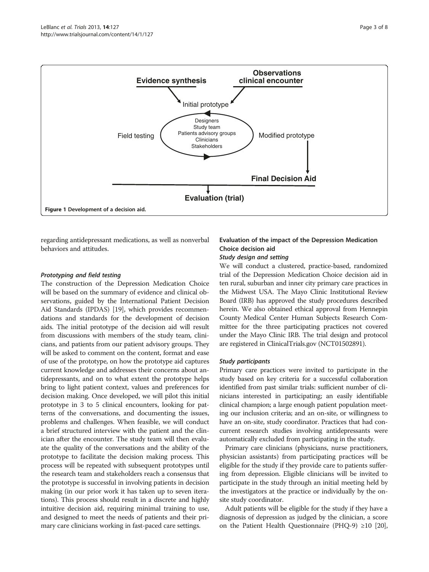<span id="page-2-0"></span>

regarding antidepressant medications, as well as nonverbal behaviors and attitudes.

### Prototyping and field testing

The construction of the Depression Medication Choice will be based on the summary of evidence and clinical observations, guided by the International Patient Decision Aid Standards (IPDAS) [\[19\]](#page-7-0), which provides recommendations and standards for the development of decision aids. The initial prototype of the decision aid will result from discussions with members of the study team, clinicians, and patients from our patient advisory groups. They will be asked to comment on the content, format and ease of use of the prototype, on how the prototype aid captures current knowledge and addresses their concerns about antidepressants, and on to what extent the prototype helps bring to light patient context, values and preferences for decision making. Once developed, we will pilot this initial prototype in 3 to 5 clinical encounters, looking for patterns of the conversations, and documenting the issues, problems and challenges. When feasible, we will conduct a brief structured interview with the patient and the clinician after the encounter. The study team will then evaluate the quality of the conversations and the ability of the prototype to facilitate the decision making process. This process will be repeated with subsequent prototypes until the research team and stakeholders reach a consensus that the prototype is successful in involving patients in decision making (in our prior work it has taken up to seven iterations). This process should result in a discrete and highly intuitive decision aid, requiring minimal training to use, and designed to meet the needs of patients and their primary care clinicians working in fast-paced care settings.

# Evaluation of the impact of the Depression Medication Choice decision aid

### Study design and setting

We will conduct a clustered, practice-based, randomized trial of the Depression Medication Choice decision aid in ten rural, suburban and inner city primary care practices in the Midwest USA. The Mayo Clinic Institutional Review Board (IRB) has approved the study procedures described herein. We also obtained ethical approval from Hennepin County Medical Center Human Subjects Research Committee for the three participating practices not covered under the Mayo Clinic IRB. The trial design and protocol are registered in ClinicalTrials.gov [\(NCT01502891](http://www.clinicaltrials.gov/NCT01502891)).

#### Study participants

Primary care practices were invited to participate in the study based on key criteria for a successful collaboration identified from past similar trials: sufficient number of clinicians interested in participating; an easily identifiable clinical champion; a large enough patient population meeting our inclusion criteria; and an on-site, or willingness to have an on-site, study coordinator. Practices that had concurrent research studies involving antidepressants were automatically excluded from participating in the study.

Primary care clinicians (physicians, nurse practitioners, physician assistants) from participating practices will be eligible for the study if they provide care to patients suffering from depression. Eligible clinicians will be invited to participate in the study through an initial meeting held by the investigators at the practice or individually by the onsite study coordinator.

Adult patients will be eligible for the study if they have a diagnosis of depression as judged by the clinician, a score on the Patient Health Questionnaire (PHQ-9)  $\geq$ 10 [[20](#page-7-0)],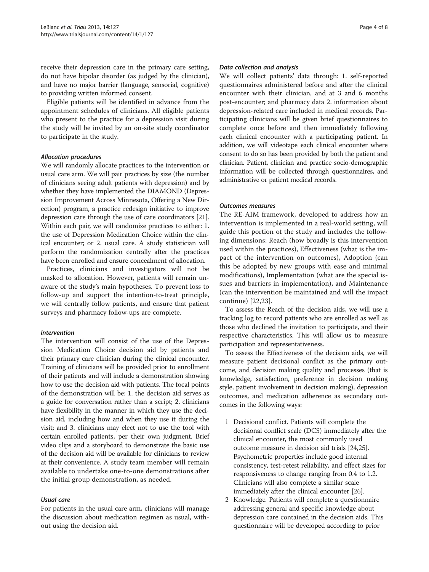receive their depression care in the primary care setting, do not have bipolar disorder (as judged by the clinician), and have no major barrier (language, sensorial, cognitive) to providing written informed consent.

Eligible patients will be identified in advance from the appointment schedules of clinicians. All eligible patients who present to the practice for a depression visit during the study will be invited by an on-site study coordinator to participate in the study.

# Allocation procedures

We will randomly allocate practices to the intervention or usual care arm. We will pair practices by size (the number of clinicians seeing adult patients with depression) and by whether they have implemented the DIAMOND (Depression Improvement Across Minnesota, Offering a New Direction) program, a practice redesign initiative to improve depression care through the use of care coordinators [[21](#page-7-0)]. Within each pair, we will randomize practices to either: 1. the use of Depression Medication Choice within the clinical encounter; or 2. usual care. A study statistician will perform the randomization centrally after the practices have been enrolled and ensure concealment of allocation.

Practices, clinicians and investigators will not be masked to allocation. However, patients will remain unaware of the study's main hypotheses. To prevent loss to follow-up and support the intention-to-treat principle, we will centrally follow patients, and ensure that patient surveys and pharmacy follow-ups are complete.

# Intervention

The intervention will consist of the use of the Depression Medication Choice decision aid by patients and their primary care clinician during the clinical encounter. Training of clinicians will be provided prior to enrollment of their patients and will include a demonstration showing how to use the decision aid with patients. The focal points of the demonstration will be: 1. the decision aid serves as a guide for conversation rather than a script; 2. clinicians have flexibility in the manner in which they use the decision aid, including how and when they use it during the visit; and 3. clinicians may elect not to use the tool with certain enrolled patients, per their own judgment. Brief video clips and a storyboard to demonstrate the basic use of the decision aid will be available for clinicians to review at their convenience. A study team member will remain available to undertake one-to-one demonstrations after the initial group demonstration, as needed.

# Usual care

For patients in the usual care arm, clinicians will manage the discussion about medication regimen as usual, without using the decision aid.

#### Data collection and analysis

We will collect patients' data through: 1. self-reported questionnaires administered before and after the clinical encounter with their clinician, and at 3 and 6 months post-encounter; and pharmacy data 2. information about depression-related care included in medical records. Participating clinicians will be given brief questionnaires to complete once before and then immediately following each clinical encounter with a participating patient. In addition, we will videotape each clinical encounter where consent to do so has been provided by both the patient and clinician. Patient, clinician and practice socio-demographic information will be collected through questionnaires, and administrative or patient medical records.

### Outcomes measures

The RE-AIM framework, developed to address how an intervention is implemented in a real-world setting, will guide this portion of the study and includes the following dimensions: Reach (how broadly is this intervention used within the practices), Effectiveness (what is the impact of the intervention on outcomes), Adoption (can this be adopted by new groups with ease and minimal modifications), Implementation (what are the special issues and barriers in implementation), and Maintenance (can the intervention be maintained and will the impact continue) [\[22,23\]](#page-7-0).

To assess the Reach of the decision aids, we will use a tracking log to record patients who are enrolled as well as those who declined the invitation to participate, and their respective characteristics. This will allow us to measure participation and representativeness.

To assess the Effectiveness of the decision aids, we will measure patient decisional conflict as the primary outcome, and decision making quality and processes (that is knowledge, satisfaction, preference in decision making style, patient involvement in decision making), depression outcomes, and medication adherence as secondary outcomes in the following ways:

- 1 Decisional conflict. Patients will complete the decisional conflict scale (DCS) immediately after the clinical encounter, the most commonly used outcome measure in decision aid trials [\[24,25\]](#page-7-0). Psychometric properties include good internal consistency, test-retest reliability, and effect sizes for responsiveness to change ranging from 0.4 to 1.2. Clinicians will also complete a similar scale immediately after the clinical encounter [\[26\]](#page-7-0).
- 2 Knowledge. Patients will complete a questionnaire addressing general and specific knowledge about depression care contained in the decision aids. This questionnaire will be developed according to prior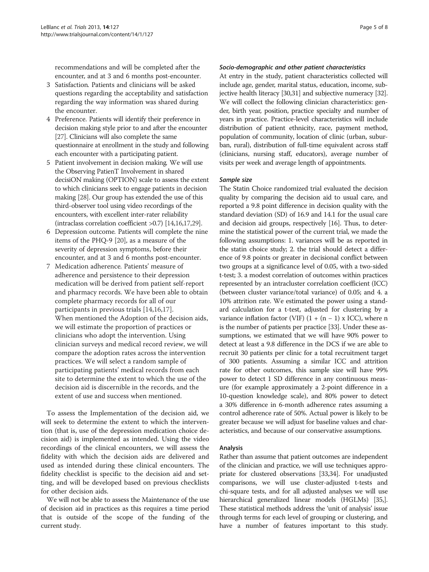recommendations and will be completed after the encounter, and at 3 and 6 months post-encounter.

- 3 Satisfaction. Patients and clinicians will be asked questions regarding the acceptability and satisfaction regarding the way information was shared during the encounter.
- 4 Preference. Patients will identify their preference in decision making style prior to and after the encounter [\[27\]](#page-7-0). Clinicians will also complete the same questionnaire at enrollment in the study and following each encounter with a participating patient.
- 5 Patient involvement in decision making. We will use the Observing PatienT Involvement in shared decisiON making (OPTION) scale to assess the extent to which clinicians seek to engage patients in decision making [[28](#page-7-0)]. Our group has extended the use of this third-observer tool using video recordings of the encounters, with excellent inter-rater reliability (intraclass correlation coefficient >0.7) [\[14,16,17](#page-6-0)[,29\]](#page-7-0).
- 6 Depression outcome. Patients will complete the nine items of the PHQ-9 [\[20\]](#page-7-0), as a measure of the severity of depression symptoms, before their encounter, and at 3 and 6 months post-encounter.
- 7 Medication adherence. Patients' measure of adherence and persistence to their depression medication will be derived from patient self-report and pharmacy records. We have been able to obtain complete pharmacy records for all of our participants in previous trials [[14,16,17\]](#page-6-0). When mentioned the Adoption of the decision aids, we will estimate the proportion of practices or clinicians who adopt the intervention. Using clinician surveys and medical record review, we will compare the adoption rates across the intervention practices. We will select a random sample of participating patients' medical records from each site to determine the extent to which the use of the decision aid is discernible in the records, and the extent of use and success when mentioned.

To assess the Implementation of the decision aid, we will seek to determine the extent to which the intervention (that is, use of the depression medication choice decision aid) is implemented as intended. Using the video recordings of the clinical encounters, we will assess the fidelity with which the decision aids are delivered and used as intended during these clinical encounters. The fidelity checklist is specific to the decision aid and setting, and will be developed based on previous checklists for other decision aids.

We will not be able to assess the Maintenance of the use of decision aid in practices as this requires a time period that is outside of the scope of the funding of the current study.

### Socio-demographic and other patient characteristics

At entry in the study, patient characteristics collected will include age, gender, marital status, education, income, subjective health literacy [[30,31\]](#page-7-0) and subjective numeracy [\[32](#page-7-0)]. We will collect the following clinician characteristics: gender, birth year, position, practice specialty and number of years in practice. Practice-level characteristics will include distribution of patient ethnicity, race, payment method, population of community, location of clinic (urban, suburban, rural), distribution of full-time equivalent across staff (clinicians, nursing staff, educators), average number of visits per week and average length of appointments.

### Sample size

The Statin Choice randomized trial evaluated the decision quality by comparing the decision aid to usual care, and reported a 9.8 point difference in decision quality with the standard deviation (SD) of 16.9 and 14.1 for the usual care and decision aid groups, respectively [\[16](#page-6-0)]. Thus, to determine the statistical power of the current trial, we made the following assumptions: 1. variances will be as reported in the statin choice study; 2. the trial should detect a difference of 9.8 points or greater in decisional conflict between two groups at a significance level of 0.05, with a two-sided t-test; 3. a modest correlation of outcomes within practices represented by an intracluster correlation coefficient (ICC) (between cluster variance/total variance) of 0.05; and 4. a 10% attrition rate. We estimated the power using a standard calculation for a t-test, adjusted for clustering by a variance inflation factor (VIF)  $(1 + (n - 1) \times ICC)$ , where n is the number of patients per practice [[33](#page-7-0)]. Under these assumptions, we estimated that we will have 90% power to detect at least a 9.8 difference in the DCS if we are able to recruit 30 patients per clinic for a total recruitment target of 300 patients. Assuming a similar ICC and attrition rate for other outcomes, this sample size will have 99% power to detect 1 SD difference in any continuous measure (for example approximately a 2-point difference in a 10-question knowledge scale), and 80% power to detect a 30% difference in 6-month adherence rates assuming a control adherence rate of 50%. Actual power is likely to be greater because we will adjust for baseline values and characteristics, and because of our conservative assumptions.

#### Analysis

Rather than assume that patient outcomes are independent of the clinician and practice, we will use techniques appropriate for clustered observations [\[33,34\]](#page-7-0). For unadjusted comparisons, we will use cluster-adjusted t-tests and chi-square tests, and for all adjusted analyses we will use hierarchical generalized linear models (HGLMs) [[35](#page-7-0),]. These statistical methods address the 'unit of analysis' issue through terms for each level of grouping or clustering, and have a number of features important to this study.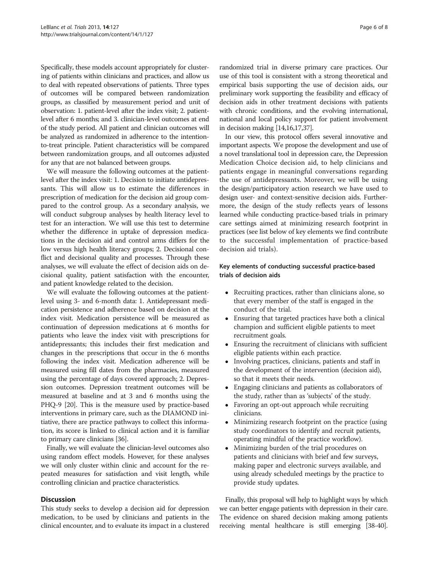Specifically, these models account appropriately for clustering of patients within clinicians and practices, and allow us to deal with repeated observations of patients. Three types of outcomes will be compared between randomization groups, as classified by measurement period and unit of observation: 1. patient-level after the index visit; 2. patientlevel after 6 months; and 3. clinician-level outcomes at end of the study period. All patient and clinician outcomes will be analyzed as randomized in adherence to the intentionto-treat principle. Patient characteristics will be compared between randomization groups, and all outcomes adjusted for any that are not balanced between groups.

We will measure the following outcomes at the patientlevel after the index visit: 1. Decision to initiate antidepressants. This will allow us to estimate the differences in prescription of medication for the decision aid group compared to the control group. As a secondary analysis, we will conduct subgroup analyses by health literacy level to test for an interaction. We will use this test to determine whether the difference in uptake of depression medications in the decision aid and control arms differs for the low versus high health literacy groups; 2. Decisional conflict and decisional quality and processes. Through these analyses, we will evaluate the effect of decision aids on decisional quality, patient satisfaction with the encounter, and patient knowledge related to the decision.

We will evaluate the following outcomes at the patientlevel using 3- and 6-month data: 1. Antidepressant medication persistence and adherence based on decision at the index visit. Medication persistence will be measured as continuation of depression medications at 6 months for patients who leave the index visit with prescriptions for antidepressants; this includes their first medication and changes in the prescriptions that occur in the 6 months following the index visit. Medication adherence will be measured using fill dates from the pharmacies, measured using the percentage of days covered approach; 2. Depression outcomes. Depression treatment outcomes will be measured at baseline and at 3 and 6 months using the PHQ-9 [[20](#page-7-0)]. This is the measure used by practice-based interventions in primary care, such as the DIAMOND initiative, there are practice pathways to collect this information, its score is linked to clinical action and it is familiar to primary care clinicians [\[36](#page-7-0)].

Finally, we will evaluate the clinician-level outcomes also using random effect models. However, for these analyses we will only cluster within clinic and account for the repeated measures for satisfaction and visit length, while controlling clinician and practice characteristics.

# **Discussion**

This study seeks to develop a decision aid for depression medication, to be used by clinicians and patients in the clinical encounter, and to evaluate its impact in a clustered randomized trial in diverse primary care practices. Our use of this tool is consistent with a strong theoretical and empirical basis supporting the use of decision aids, our preliminary work supporting the feasibility and efficacy of decision aids in other treatment decisions with patients with chronic conditions, and the evolving international, national and local policy support for patient involvement

in decision making [[14,16,17,](#page-6-0)[37](#page-7-0)]. In our view, this protocol offers several innovative and important aspects. We propose the development and use of a novel translational tool in depression care, the Depression Medication Choice decision aid, to help clinicians and patients engage in meaningful conversations regarding the use of antidepressants. Moreover, we will be using the design/participatory action research we have used to design user- and context-sensitive decision aids. Furthermore, the design of the study reflects years of lessons learned while conducting practice-based trials in primary care settings aimed at minimizing research footprint in practices (see list below of key elements we find contribute to the successful implementation of practice-based decision aid trials).

# Key elements of conducting successful practice-based trials of decision aids

- Recruiting practices, rather than clinicians alone, so that every member of the staff is engaged in the conduct of the trial.
- Ensuring that targeted practices have both a clinical champion and sufficient eligible patients to meet recruitment goals.
- Ensuring the recruitment of clinicians with sufficient eligible patients within each practice.
- Involving practices, clinicians, patients and staff in the development of the intervention (decision aid), so that it meets their needs.
- Engaging clinicians and patients as collaborators of the study, rather than as 'subjects' of the study.
- Favoring an opt-out approach while recruiting clinicians.
- Minimizing research footprint on the practice (using study coordinators to identify and recruit patients, operating mindful of the practice workflow).
- Minimizing burden of the trial procedures on patients and clinicians with brief and few surveys, making paper and electronic surveys available, and using already scheduled meetings by the practice to provide study updates.

Finally, this proposal will help to highlight ways by which we can better engage patients with depression in their care. The evidence on shared decision making among patients receiving mental healthcare is still emerging [\[38](#page-7-0)-[40](#page-7-0)].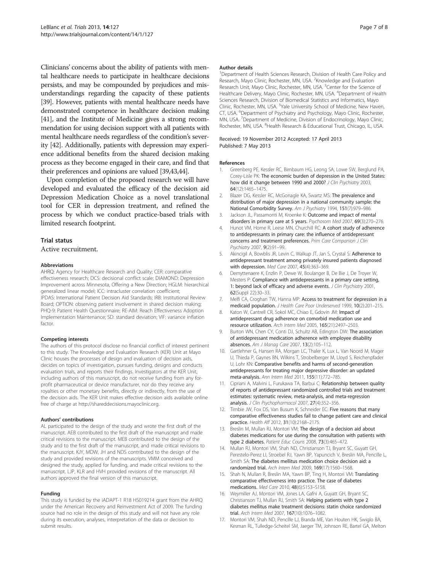<span id="page-6-0"></span>Clinicians' concerns about the ability of patients with mental healthcare needs to participate in healthcare decisions persists, and may be compounded by prejudices and misunderstandings regarding the capacity of these patients [[39](#page-7-0)]. However, patients with mental healthcare needs have demonstrated competence in healthcare decision making [[41](#page-7-0)], and the Institute of Medicine gives a strong recommendation for using decision support with all patients with mental healthcare needs regardless of the condition's severity [[42](#page-7-0)]. Additionally, patients with depression may experience additional benefits from the shared decision making process as they become engaged in their care, and find that their preferences and opinions are valued [\[39,43,44\]](#page-7-0).

Upon completion of the proposed research we will have developed and evaluated the efficacy of the decision aid Depression Medication Choice as a novel translational tool for CER in depression treatment, and refined the process by which we conduct practice-based trials with limited research footprint.

#### Trial status

Active recruitment.

#### Abbreviations

AHRQ: Agency for Healthcare Research and Quality; CER: comparative effectiveness research; DCS: decisional conflict scale; DIAMOND: Depression Improvement across Minnesota, Offering a New Direction; HGLM: hierarchical generalized linear model; ICC: intracluster correlation coefficient; IPDAS: International Patient Decision Aid Standards; IRB: Institutional Review Board; OPTION: observing patient involvement in shared decision making; PHQ-9: Patient Health Questionnaire; RE-AIM: Reach Effectiveness Adoption Implementation Maintenance; SD: standard deviation; VIF: variance inflation factor.

#### Competing interests

The authors of this protocol disclose no financial conflict of interest pertinent to this study. The Knowledge and Evaluation Research (KER) Unit at Mayo Clinic houses the processes of design and evaluation of decision aids, decides on topics of investigation, pursues funding, designs and conducts evaluation trials, and reports their findings. Investigators at the KER Unit, including authors of this manuscript, do not receive funding from any forprofit pharmaceutical or device manufacturer, nor do they receive any royalties or other monetary benefits, directly or indirectly, from the use of the decision aids. The KER Unit makes effective decision aids available online free of charge at<http://shareddecisions.mayoclinic.org>.

#### Authors' contributions

AL participated to the design of the study and wrote the first draft of the manuscript. AEB contributed to the first draft of the manuscript and made critical revisions to the manuscript. MEB contributed to the design of the study and to the first draft of the manuscript, and made critical revisions to the manuscript. KJY, MDW, JH and NDS contributed to the design of the study and provided revisions of the manuscripts. VMM conceived and designed the study, applied for funding, and made critical revisions to the manuscript. LJP, KLR and HVH provided revisions of the manuscript. All authors approved the final version of this manuscript.

#### Funding

This study is funded by the iADAPT-1 R18 HS019214 grant from the AHRQ under the American Recovery and Reinvestment Act of 2009. The funding source had no role in the design of this study and will not have any role during its execution, analyses, interpretation of the data or decision to submit results.

#### Author details

<sup>1</sup>Department of Health Sciences Research, Division of Health Care Policy and Research, Mayo Clinic, Rochester, MN, USA. <sup>2</sup>Knowledge and Evaluation Research Unit, Mayo Clinic, Rochester, MN, USA. <sup>3</sup>Center for the Science of Healthcare Delivery, Mayo Clinic, Rochester, MN, USA. <sup>4</sup>Department of Health Sciences Research, Division of Biomedical Statistics and Informatics, Mayo Clinic, Rochester, MN, USA. <sup>5</sup>Yale University School of Medicine, New Haven CT, USA. <sup>6</sup>Department of Psychiatry and Psychology, Mayo Clinic, Rochester, MN, USA. <sup>7</sup> Department of Medicine, Division of Endocrinology, Mayo Clinic Rochester, MN, USA. <sup>8</sup> Health Research & Educational Trust, Chicago, IL, USA

#### Received: 19 November 2012 Accepted: 17 April 2013 Published: 7 May 2013

#### References

- 1. Greenberg PE, Kessler RC, Birnbaum HG, Leong SA, Lowe SW, Berglund PA, Corey-Lisle PK: The economic burden of depression in the United States: how did it change between 1990 and 2000? J Clin Psychiatry 2003, 64(12):1465–1475.
- 2. Blazer DG, Kessler RC, McGonagle KA, Swartz MS: The prevalence and distribution of major depression in a national community sample: the National Comorbidity Survey. Am J Psychiatry 1994, 151(7):979–986.
- 3. Jackson JL, Passamonti M, Kroenke K: Outcome and impact of mental disorders in primary care at 5 years. Psychosom Med 2007, 69(3):270–276.
- 4. Hunot VM, Horne R, Leese MN, Churchill RC: A cohort study of adherence to antidepressants in primary care: the influence of antidepressant concerns and treatment preferences. Prim Care Companion J Clin Psychiatry 2007, 9(2):91–99.
- 5. Akincigil A, Bowblis JR, Levin C, Walkup JT, Jan S, Crystal S: Adherence to antidepressant treatment among privately insured patients diagnosed with depression. Med Care 2007, 45(4):363–369.
- 6. Demyttenaere K, Enzlin P, Dewe W, Boulanger B, De Bie J, De Troyer W, Mesters P: Compliance with antidepressants in a primary care setting, 1: beyond lack of efficacy and adverse events. J Clin Psychiatry 2001, 62(Suppl 22):30–33.
- 7. Melfi CA, Croghan TW, Hanna MP: Access to treatment for depression in a medicaid population. *J Health Care Poor Underserved* 1999, 10(2):201-215.
- 8. Katon W, Cantrell CR, Sokol MC, Chiao E, Gdovin JM: Impact of antidepressant drug adherence on comorbid medication use and resource utilization. Arch Intern Med 2005, 165(21):2497–2503.
- Burton WN, Chen CY, Conti DJ, Schultz AB, Edington DW: The association of antidepressant medication adherence with employee disability absences. Am J Manag Care 2007, 13(2):105–112.
- 10. Gartlehner G, Hansen RA, Morgan LC, Thaler K, Lux L, Van Noord M, Mager U, Thieda P, Gaynes BN, Wilkins T, Strobelberger M, Lloyd S, Reichenpfader U, Lohr KN: Comparative benefits and harms of second-generation antidepressants for treating major depressive disorder: an updated meta-analysis. Ann Intern Med 2011, 155(11):772–785.
- 11. Cipriani A, Malvini L, Furukawa TA, Barbui C: Relationship between quality of reports of antidepressant randomized controlled trials and treatment estimates: systematic review, meta-analysis, and meta-regression analysis. J Clin Psychopharmacol 2007, 27(4):352–356.
- 12. Timbie JW, Fox DS, Van Busum K, Schneider EC: Five reasons that many comparative effectiveness studies fail to change patient care and clinical practice. Health Aff 2012, 31(10):2168–2175.
- 13. Breslin M, Mullan RJ, Montori VM: The design of a decision aid about diabetes medications for use during the consultation with patients with type 2 diabetes. Patient Educ Couns 2008, 73(3):465–472.
- 14. Mullan RJ, Montori VM, Shah ND, Christianson TJ, Bryant SC, Guyatt GH, Perestelo-Perez LI, Stroebel RJ, Yawn BP, Yapuncich V, Breslin MA, Pencille L, Smith SA: The diabetes mellitus medication choice decision aid: a randomized trial. Arch Intern Med 2009, 169(17):1560–1568.
- 15. Shah N, Mullan R, Breslin MA, Yawn BP, Ting H, Montori VM: Translating comparative effectiveness into practice. The case of diabetes medications. Med Care 2010, 48(6):S153-S158.
- 16. Weymiller AJ, Montori VM, Jones LA, Gafni A, Guyatt GH, Bryant SC, Christianson TJ, Mullan RJ, Smith SA: Helping patients with type 2 diabetes mellitus make treatment decisions: statin choice randomized trial. Arch Intern Med 2007, 167(10):1076–1082.
- 17. Montori VM, Shah ND, Pencille LJ, Branda ME, Van Houten HK, Swiglo BA, Kesman RL, Tulledge-Scheitel SM, Jaeger TM, Johnson RE, Bartel GA, Melton